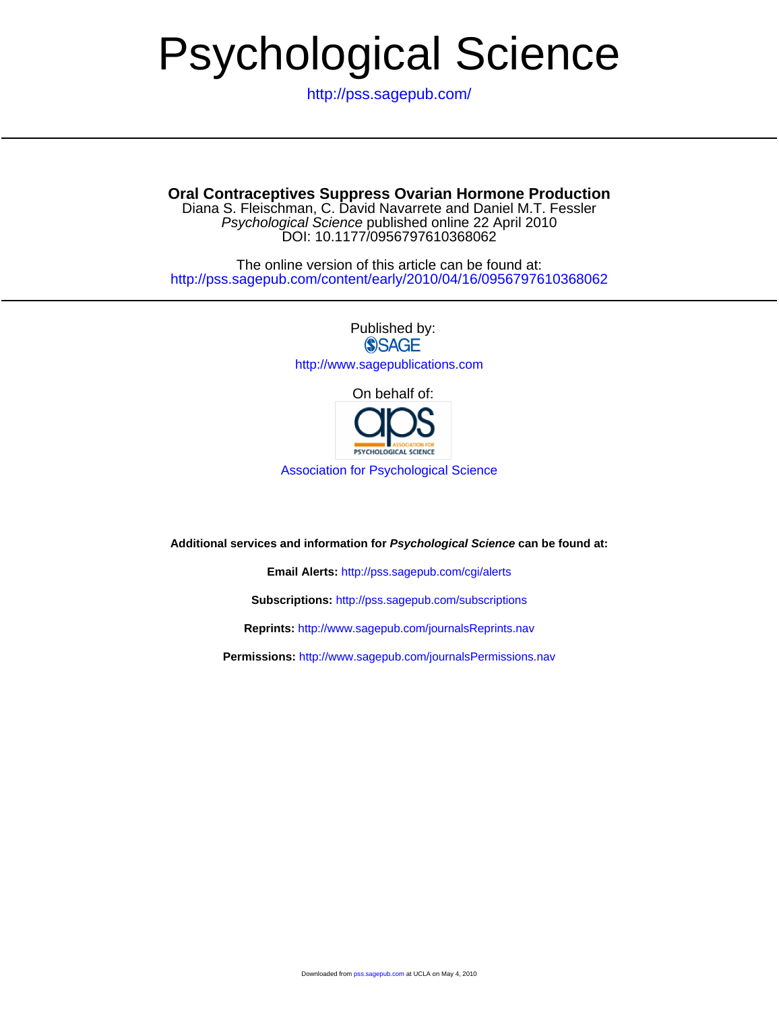# Psychological Science

<http://pss.sagepub.com/>

**Oral Contraceptives Suppress Ovarian Hormone Production**

DOI: 10.1177/0956797610368062 Psychological Science published online 22 April 2010 Diana S. Fleischman, C. David Navarrete and Daniel M.T. Fessler

<http://pss.sagepub.com/content/early/2010/04/16/0956797610368062> The online version of this article can be found at:

> Published by: **SSAGE** <http://www.sagepublications.com>

> > On behalf of:



[Association for Psychological Science](http://www.psychologicalscience.org/)

**Additional services and information for Psychological Science can be found at:**

**Email Alerts:** <http://pss.sagepub.com/cgi/alerts>

**Subscriptions:** <http://pss.sagepub.com/subscriptions>

**Reprints:** <http://www.sagepub.com/journalsReprints.nav>

**Permissions:** <http://www.sagepub.com/journalsPermissions.nav>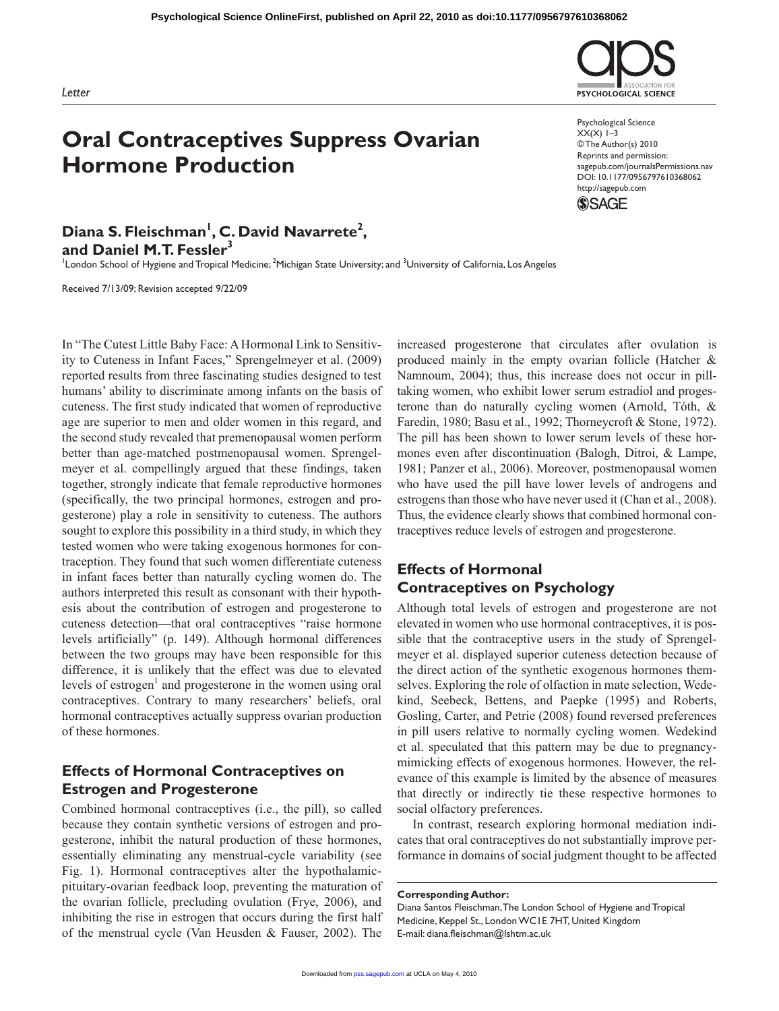

Psychological Science  $XX(X)$  1–3 © The Author(s) 2010 Reprints and permission: sagepub.com/journalsPermissions.nav DOI: 10.1177/0956797610368062 http://sagepub.com

PSYCHOLOGICAL SCIENCE



Diana S. Fleischman<sup>1</sup>, C. David Navarrete<sup>2</sup>, **and Daniel M.T. Fessler3**

<sup>1</sup>London School of Hygiene and Tropical Medicine; <sup>2</sup>Michigan State University; and <sup>3</sup>University of California, Los Angeles

Received 7/13/09; Revision accepted 9/22/09

In "The Cutest Little Baby Face: A Hormonal Link to Sensitivity to Cuteness in Infant Faces," Sprengelmeyer et al. (2009) reported results from three fascinating studies designed to test humans' ability to discriminate among infants on the basis of cuteness. The first study indicated that women of reproductive age are superior to men and older women in this regard, and the second study revealed that premenopausal women perform better than age-matched postmenopausal women. Sprengelmeyer et al. compellingly argued that these findings, taken together, strongly indicate that female reproductive hormones (specifically, the two principal hormones, estrogen and progesterone) play a role in sensitivity to cuteness. The authors sought to explore this possibility in a third study, in which they tested women who were taking exogenous hormones for contraception. They found that such women differentiate cuteness in infant faces better than naturally cycling women do. The authors interpreted this result as consonant with their hypothesis about the contribution of estrogen and progesterone to cuteness detection—that oral contraceptives "raise hormone levels artificially" (p. 149). Although hormonal differences between the two groups may have been responsible for this difference, it is unlikely that the effect was due to elevated levels of estrogen<sup>1</sup> and progesterone in the women using oral contraceptives. Contrary to many researchers' beliefs, oral hormonal contraceptives actually suppress ovarian production of these hormones.

## **Effects of Hormonal Contraceptives on Estrogen and Progesterone**

Combined hormonal contraceptives (i.e., the pill), so called because they contain synthetic versions of estrogen and progesterone, inhibit the natural production of these hormones, essentially eliminating any menstrual-cycle variability (see Fig. 1). Hormonal contraceptives alter the hypothalamicpituitary-ovarian feedback loop, preventing the maturation of the ovarian follicle, precluding ovulation (Frye, 2006), and inhibiting the rise in estrogen that occurs during the first half of the menstrual cycle (Van Heusden & Fauser, 2002). The

increased progesterone that circulates after ovulation is produced mainly in the empty ovarian follicle (Hatcher & Namnoum, 2004); thus, this increase does not occur in pilltaking women, who exhibit lower serum estradiol and progesterone than do naturally cycling women (Arnold, Tóth, & Faredin, 1980; Basu et al., 1992; Thorneycroft & Stone, 1972). The pill has been shown to lower serum levels of these hormones even after discontinuation (Balogh, Ditroi, & Lampe, 1981; Panzer et al., 2006). Moreover, postmenopausal women who have used the pill have lower levels of androgens and estrogens than those who have never used it (Chan et al., 2008). Thus, the evidence clearly shows that combined hormonal contraceptives reduce levels of estrogen and progesterone.

# **Effects of Hormonal Contraceptives on Psychology**

Although total levels of estrogen and progesterone are not elevated in women who use hormonal contraceptives, it is possible that the contraceptive users in the study of Sprengelmeyer et al. displayed superior cuteness detection because of the direct action of the synthetic exogenous hormones themselves. Exploring the role of olfaction in mate selection, Wedekind, Seebeck, Bettens, and Paepke (1995) and Roberts, Gosling, Carter, and Petrie (2008) found reversed preferences in pill users relative to normally cycling women. Wedekind et al. speculated that this pattern may be due to pregnancymimicking effects of exogenous hormones. However, the relevance of this example is limited by the absence of measures that directly or indirectly tie these respective hormones to social olfactory preferences.

In contrast, research exploring hormonal mediation indicates that oral contraceptives do not substantially improve performance in domains of social judgment thought to be affected

**Corresponding Author:**

Diana Santos Fleischman, The London School of Hygiene and Tropical Medicine, Keppel St., London WC1E 7HT, United Kingdom E-mail: diana.fleischman@lshtm.ac.uk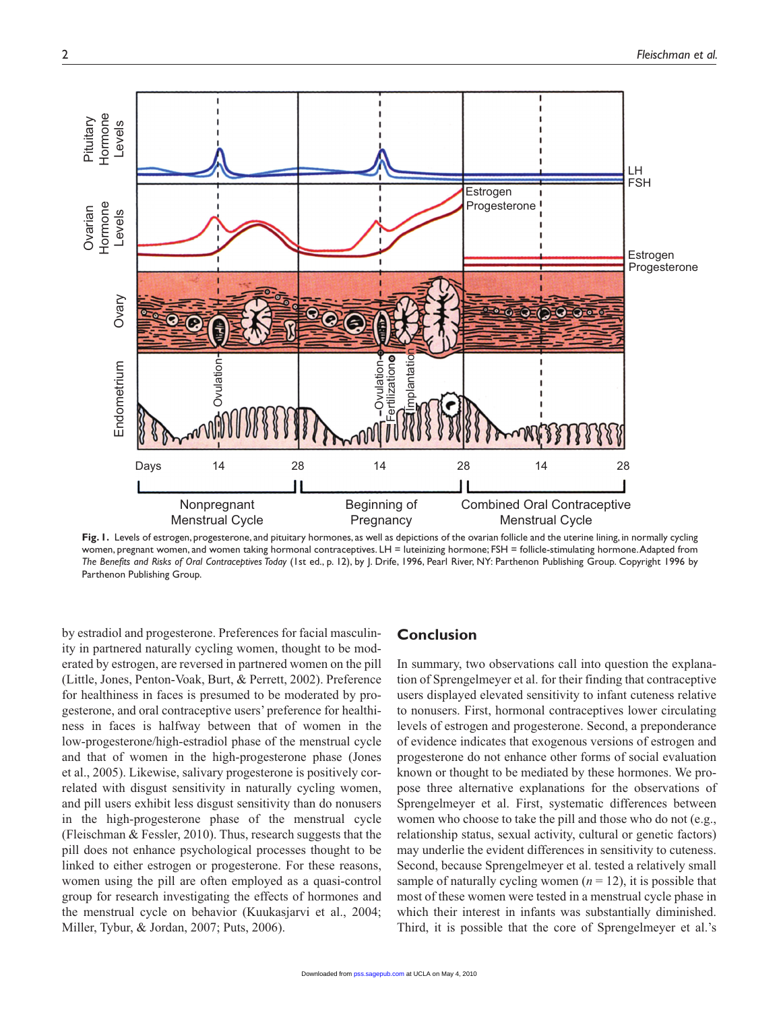

Fig. I. Levels of estrogen, progesterone, and pituitary hormones, as well as depictions of the ovarian follicle and the uterine lining, in normally cycling women, pregnant women, and women taking hormonal contraceptives. LH = luteinizing hormone; FSH = follicle-stimulating hormone. Adapted from *The Benefits and Risks of Oral Contraceptives Today* (1st ed., p. 12), by J. Drife, 1996, Pearl River, NY: Parthenon Publishing Group. Copyright 1996 by Parthenon Publishing Group.

by estradiol and progesterone. Preferences for facial masculinity in partnered naturally cycling women, thought to be moderated by estrogen, are reversed in partnered women on the pill (Little, Jones, Penton-Voak, Burt, & Perrett, 2002). Preference for healthiness in faces is presumed to be moderated by progesterone, and oral contraceptive users' preference for healthiness in faces is halfway between that of women in the low-progesterone/high-estradiol phase of the menstrual cycle and that of women in the high-progesterone phase (Jones et al., 2005). Likewise, salivary progesterone is positively correlated with disgust sensitivity in naturally cycling women, and pill users exhibit less disgust sensitivity than do nonusers in the high-progesterone phase of the menstrual cycle (Fleischman & Fessler, 2010). Thus, research suggests that the pill does not enhance psychological processes thought to be linked to either estrogen or progesterone. For these reasons, women using the pill are often employed as a quasi-control group for research investigating the effects of hormones and the menstrual cycle on behavior (Kuukasjarvi et al., 2004; Miller, Tybur, & Jordan, 2007; Puts, 2006).

## **Conclusion**

In summary, two observations call into question the explanation of Sprengelmeyer et al. for their finding that contraceptive users displayed elevated sensitivity to infant cuteness relative to nonusers. First, hormonal contraceptives lower circulating levels of estrogen and progesterone. Second, a preponderance of evidence indicates that exogenous versions of estrogen and progesterone do not enhance other forms of social evaluation known or thought to be mediated by these hormones. We propose three alternative explanations for the observations of Sprengelmeyer et al. First, systematic differences between women who choose to take the pill and those who do not (e.g., relationship status, sexual activity, cultural or genetic factors) may underlie the evident differences in sensitivity to cuteness. Second, because Sprengelmeyer et al. tested a relatively small sample of naturally cycling women  $(n = 12)$ , it is possible that most of these women were tested in a menstrual cycle phase in which their interest in infants was substantially diminished. Third, it is possible that the core of Sprengelmeyer et al.'s